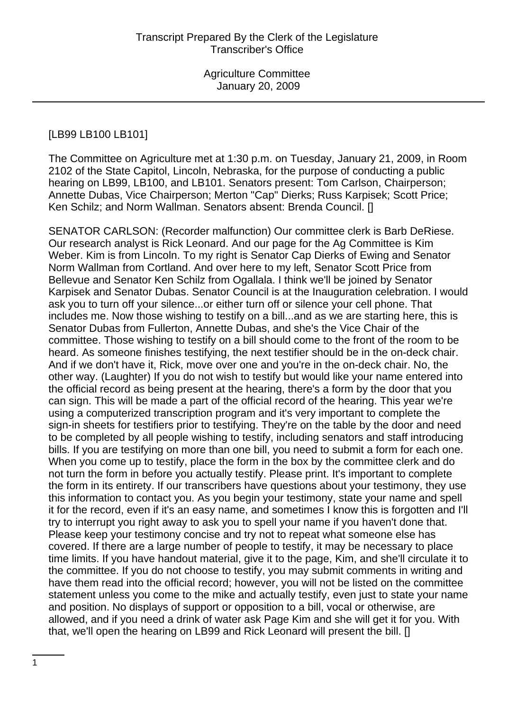# [LB99 LB100 LB101]

The Committee on Agriculture met at 1:30 p.m. on Tuesday, January 21, 2009, in Room 2102 of the State Capitol, Lincoln, Nebraska, for the purpose of conducting a public hearing on LB99, LB100, and LB101. Senators present: Tom Carlson, Chairperson; Annette Dubas, Vice Chairperson; Merton "Cap" Dierks; Russ Karpisek; Scott Price; Ken Schilz; and Norm Wallman. Senators absent: Brenda Council. []

SENATOR CARLSON: (Recorder malfunction) Our committee clerk is Barb DeRiese. Our research analyst is Rick Leonard. And our page for the Ag Committee is Kim Weber. Kim is from Lincoln. To my right is Senator Cap Dierks of Ewing and Senator Norm Wallman from Cortland. And over here to my left, Senator Scott Price from Bellevue and Senator Ken Schilz from Ogallala. I think we'll be joined by Senator Karpisek and Senator Dubas. Senator Council is at the Inauguration celebration. I would ask you to turn off your silence...or either turn off or silence your cell phone. That includes me. Now those wishing to testify on a bill...and as we are starting here, this is Senator Dubas from Fullerton, Annette Dubas, and she's the Vice Chair of the committee. Those wishing to testify on a bill should come to the front of the room to be heard. As someone finishes testifying, the next testifier should be in the on-deck chair. And if we don't have it, Rick, move over one and you're in the on-deck chair. No, the other way. (Laughter) If you do not wish to testify but would like your name entered into the official record as being present at the hearing, there's a form by the door that you can sign. This will be made a part of the official record of the hearing. This year we're using a computerized transcription program and it's very important to complete the sign-in sheets for testifiers prior to testifying. They're on the table by the door and need to be completed by all people wishing to testify, including senators and staff introducing bills. If you are testifying on more than one bill, you need to submit a form for each one. When you come up to testify, place the form in the box by the committee clerk and do not turn the form in before you actually testify. Please print. It's important to complete the form in its entirety. If our transcribers have questions about your testimony, they use this information to contact you. As you begin your testimony, state your name and spell it for the record, even if it's an easy name, and sometimes I know this is forgotten and I'll try to interrupt you right away to ask you to spell your name if you haven't done that. Please keep your testimony concise and try not to repeat what someone else has covered. If there are a large number of people to testify, it may be necessary to place time limits. If you have handout material, give it to the page, Kim, and she'll circulate it to the committee. If you do not choose to testify, you may submit comments in writing and have them read into the official record; however, you will not be listed on the committee statement unless you come to the mike and actually testify, even just to state your name and position. No displays of support or opposition to a bill, vocal or otherwise, are allowed, and if you need a drink of water ask Page Kim and she will get it for you. With that, we'll open the hearing on LB99 and Rick Leonard will present the bill. []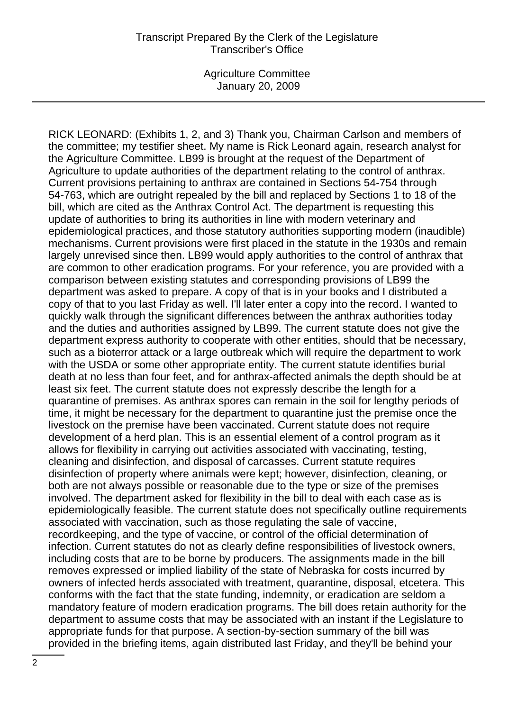RICK LEONARD: (Exhibits 1, 2, and 3) Thank you, Chairman Carlson and members of the committee; my testifier sheet. My name is Rick Leonard again, research analyst for the Agriculture Committee. LB99 is brought at the request of the Department of Agriculture to update authorities of the department relating to the control of anthrax. Current provisions pertaining to anthrax are contained in Sections 54-754 through 54-763, which are outright repealed by the bill and replaced by Sections 1 to 18 of the bill, which are cited as the Anthrax Control Act. The department is requesting this update of authorities to bring its authorities in line with modern veterinary and epidemiological practices, and those statutory authorities supporting modern (inaudible) mechanisms. Current provisions were first placed in the statute in the 1930s and remain largely unrevised since then. LB99 would apply authorities to the control of anthrax that are common to other eradication programs. For your reference, you are provided with a comparison between existing statutes and corresponding provisions of LB99 the department was asked to prepare. A copy of that is in your books and I distributed a copy of that to you last Friday as well. I'll later enter a copy into the record. I wanted to quickly walk through the significant differences between the anthrax authorities today and the duties and authorities assigned by LB99. The current statute does not give the department express authority to cooperate with other entities, should that be necessary, such as a bioterror attack or a large outbreak which will require the department to work with the USDA or some other appropriate entity. The current statute identifies burial death at no less than four feet, and for anthrax-affected animals the depth should be at least six feet. The current statute does not expressly describe the length for a quarantine of premises. As anthrax spores can remain in the soil for lengthy periods of time, it might be necessary for the department to quarantine just the premise once the livestock on the premise have been vaccinated. Current statute does not require development of a herd plan. This is an essential element of a control program as it allows for flexibility in carrying out activities associated with vaccinating, testing, cleaning and disinfection, and disposal of carcasses. Current statute requires disinfection of property where animals were kept; however, disinfection, cleaning, or both are not always possible or reasonable due to the type or size of the premises involved. The department asked for flexibility in the bill to deal with each case as is epidemiologically feasible. The current statute does not specifically outline requirements associated with vaccination, such as those regulating the sale of vaccine, recordkeeping, and the type of vaccine, or control of the official determination of infection. Current statutes do not as clearly define responsibilities of livestock owners, including costs that are to be borne by producers. The assignments made in the bill removes expressed or implied liability of the state of Nebraska for costs incurred by owners of infected herds associated with treatment, quarantine, disposal, etcetera. This conforms with the fact that the state funding, indemnity, or eradication are seldom a mandatory feature of modern eradication programs. The bill does retain authority for the department to assume costs that may be associated with an instant if the Legislature to appropriate funds for that purpose. A section-by-section summary of the bill was provided in the briefing items, again distributed last Friday, and they'll be behind your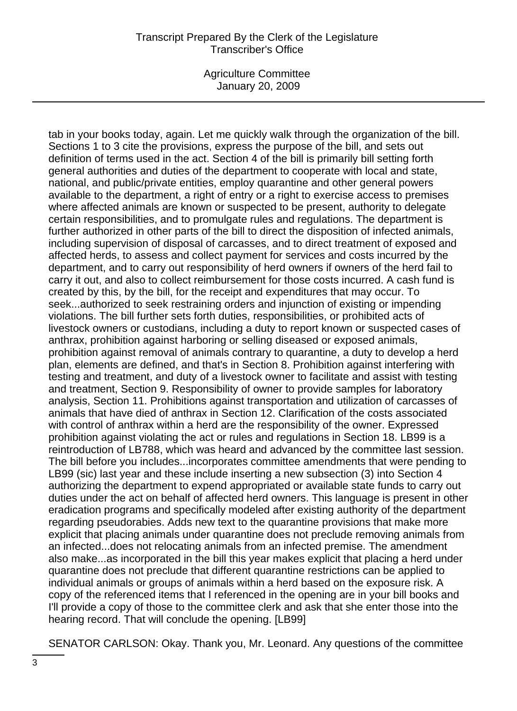#### Transcript Prepared By the Clerk of the Legislature Transcriber's Office

Agriculture Committee January 20, 2009

tab in your books today, again. Let me quickly walk through the organization of the bill. Sections 1 to 3 cite the provisions, express the purpose of the bill, and sets out definition of terms used in the act. Section 4 of the bill is primarily bill setting forth general authorities and duties of the department to cooperate with local and state, national, and public/private entities, employ quarantine and other general powers available to the department, a right of entry or a right to exercise access to premises where affected animals are known or suspected to be present, authority to delegate certain responsibilities, and to promulgate rules and regulations. The department is further authorized in other parts of the bill to direct the disposition of infected animals, including supervision of disposal of carcasses, and to direct treatment of exposed and affected herds, to assess and collect payment for services and costs incurred by the department, and to carry out responsibility of herd owners if owners of the herd fail to carry it out, and also to collect reimbursement for those costs incurred. A cash fund is created by this, by the bill, for the receipt and expenditures that may occur. To seek...authorized to seek restraining orders and injunction of existing or impending violations. The bill further sets forth duties, responsibilities, or prohibited acts of livestock owners or custodians, including a duty to report known or suspected cases of anthrax, prohibition against harboring or selling diseased or exposed animals, prohibition against removal of animals contrary to quarantine, a duty to develop a herd plan, elements are defined, and that's in Section 8. Prohibition against interfering with testing and treatment, and duty of a livestock owner to facilitate and assist with testing and treatment, Section 9. Responsibility of owner to provide samples for laboratory analysis, Section 11. Prohibitions against transportation and utilization of carcasses of animals that have died of anthrax in Section 12. Clarification of the costs associated with control of anthrax within a herd are the responsibility of the owner. Expressed prohibition against violating the act or rules and regulations in Section 18. LB99 is a reintroduction of LB788, which was heard and advanced by the committee last session. The bill before you includes...incorporates committee amendments that were pending to LB99 (sic) last year and these include inserting a new subsection (3) into Section 4 authorizing the department to expend appropriated or available state funds to carry out duties under the act on behalf of affected herd owners. This language is present in other eradication programs and specifically modeled after existing authority of the department regarding pseudorabies. Adds new text to the quarantine provisions that make more explicit that placing animals under quarantine does not preclude removing animals from an infected...does not relocating animals from an infected premise. The amendment also make...as incorporated in the bill this year makes explicit that placing a herd under quarantine does not preclude that different quarantine restrictions can be applied to individual animals or groups of animals within a herd based on the exposure risk. A copy of the referenced items that I referenced in the opening are in your bill books and I'll provide a copy of those to the committee clerk and ask that she enter those into the hearing record. That will conclude the opening. [LB99]

SENATOR CARLSON: Okay. Thank you, Mr. Leonard. Any questions of the committee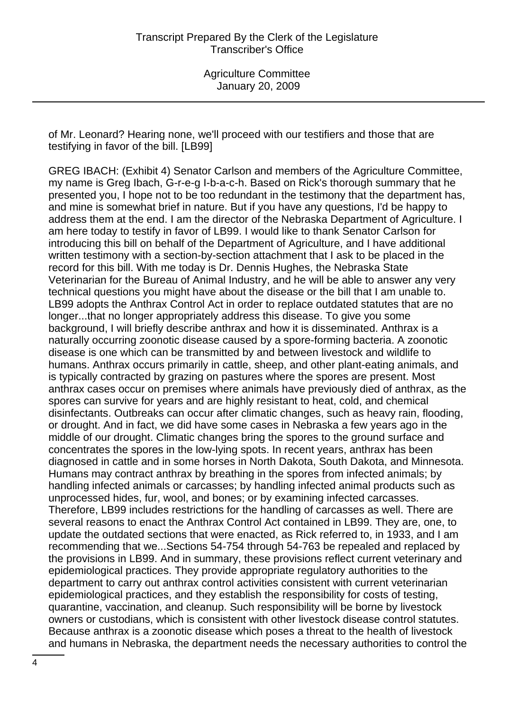of Mr. Leonard? Hearing none, we'll proceed with our testifiers and those that are testifying in favor of the bill. [LB99]

GREG IBACH: (Exhibit 4) Senator Carlson and members of the Agriculture Committee, my name is Greg Ibach, G-r-e-g I-b-a-c-h. Based on Rick's thorough summary that he presented you, I hope not to be too redundant in the testimony that the department has, and mine is somewhat brief in nature. But if you have any questions, I'd be happy to address them at the end. I am the director of the Nebraska Department of Agriculture. I am here today to testify in favor of LB99. I would like to thank Senator Carlson for introducing this bill on behalf of the Department of Agriculture, and I have additional written testimony with a section-by-section attachment that I ask to be placed in the record for this bill. With me today is Dr. Dennis Hughes, the Nebraska State Veterinarian for the Bureau of Animal Industry, and he will be able to answer any very technical questions you might have about the disease or the bill that I am unable to. LB99 adopts the Anthrax Control Act in order to replace outdated statutes that are no longer...that no longer appropriately address this disease. To give you some background, I will briefly describe anthrax and how it is disseminated. Anthrax is a naturally occurring zoonotic disease caused by a spore-forming bacteria. A zoonotic disease is one which can be transmitted by and between livestock and wildlife to humans. Anthrax occurs primarily in cattle, sheep, and other plant-eating animals, and is typically contracted by grazing on pastures where the spores are present. Most anthrax cases occur on premises where animals have previously died of anthrax, as the spores can survive for years and are highly resistant to heat, cold, and chemical disinfectants. Outbreaks can occur after climatic changes, such as heavy rain, flooding, or drought. And in fact, we did have some cases in Nebraska a few years ago in the middle of our drought. Climatic changes bring the spores to the ground surface and concentrates the spores in the low-lying spots. In recent years, anthrax has been diagnosed in cattle and in some horses in North Dakota, South Dakota, and Minnesota. Humans may contract anthrax by breathing in the spores from infected animals; by handling infected animals or carcasses; by handling infected animal products such as unprocessed hides, fur, wool, and bones; or by examining infected carcasses. Therefore, LB99 includes restrictions for the handling of carcasses as well. There are several reasons to enact the Anthrax Control Act contained in LB99. They are, one, to update the outdated sections that were enacted, as Rick referred to, in 1933, and I am recommending that we...Sections 54-754 through 54-763 be repealed and replaced by the provisions in LB99. And in summary, these provisions reflect current veterinary and epidemiological practices. They provide appropriate regulatory authorities to the department to carry out anthrax control activities consistent with current veterinarian epidemiological practices, and they establish the responsibility for costs of testing, quarantine, vaccination, and cleanup. Such responsibility will be borne by livestock owners or custodians, which is consistent with other livestock disease control statutes. Because anthrax is a zoonotic disease which poses a threat to the health of livestock and humans in Nebraska, the department needs the necessary authorities to control the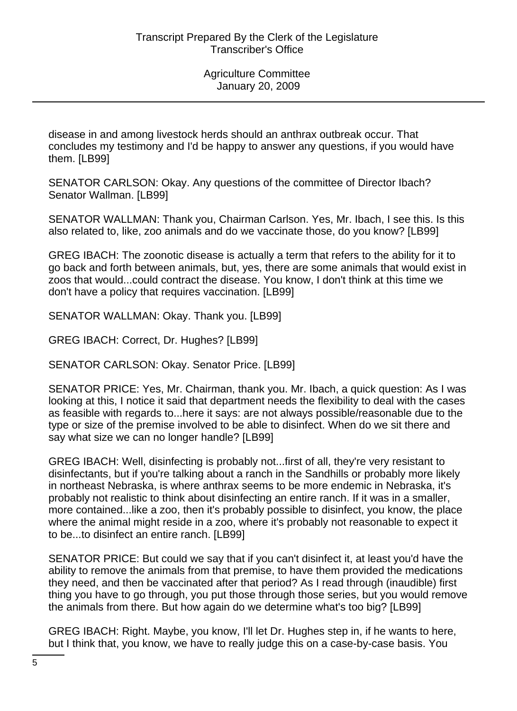disease in and among livestock herds should an anthrax outbreak occur. That concludes my testimony and I'd be happy to answer any questions, if you would have them. [LB99]

SENATOR CARLSON: Okay. Any questions of the committee of Director Ibach? Senator Wallman. [LB99]

SENATOR WALLMAN: Thank you, Chairman Carlson. Yes, Mr. Ibach, I see this. Is this also related to, like, zoo animals and do we vaccinate those, do you know? [LB99]

GREG IBACH: The zoonotic disease is actually a term that refers to the ability for it to go back and forth between animals, but, yes, there are some animals that would exist in zoos that would...could contract the disease. You know, I don't think at this time we don't have a policy that requires vaccination. [LB99]

SENATOR WALLMAN: Okay. Thank you. [LB99]

GREG IBACH: Correct, Dr. Hughes? [LB99]

SENATOR CARLSON: Okay. Senator Price. [LB99]

SENATOR PRICE: Yes, Mr. Chairman, thank you. Mr. Ibach, a quick question: As I was looking at this, I notice it said that department needs the flexibility to deal with the cases as feasible with regards to...here it says: are not always possible/reasonable due to the type or size of the premise involved to be able to disinfect. When do we sit there and say what size we can no longer handle? [LB99]

GREG IBACH: Well, disinfecting is probably not...first of all, they're very resistant to disinfectants, but if you're talking about a ranch in the Sandhills or probably more likely in northeast Nebraska, is where anthrax seems to be more endemic in Nebraska, it's probably not realistic to think about disinfecting an entire ranch. If it was in a smaller, more contained...like a zoo, then it's probably possible to disinfect, you know, the place where the animal might reside in a zoo, where it's probably not reasonable to expect it to be...to disinfect an entire ranch. [LB99]

SENATOR PRICE: But could we say that if you can't disinfect it, at least you'd have the ability to remove the animals from that premise, to have them provided the medications they need, and then be vaccinated after that period? As I read through (inaudible) first thing you have to go through, you put those through those series, but you would remove the animals from there. But how again do we determine what's too big? [LB99]

GREG IBACH: Right. Maybe, you know, I'll let Dr. Hughes step in, if he wants to here, but I think that, you know, we have to really judge this on a case-by-case basis. You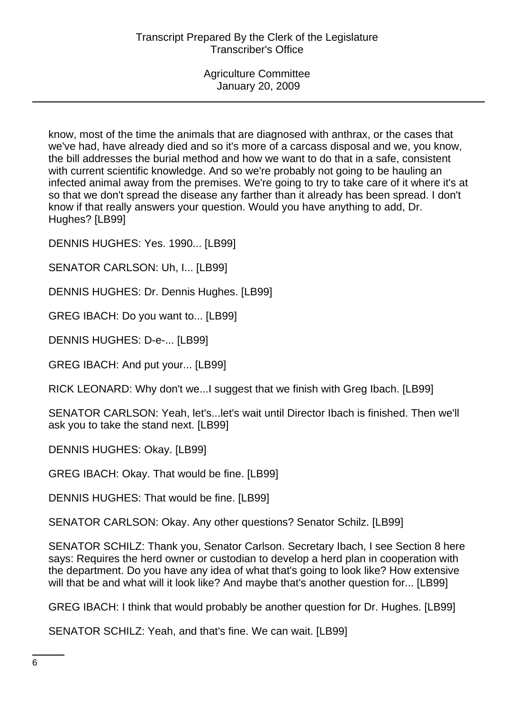know, most of the time the animals that are diagnosed with anthrax, or the cases that we've had, have already died and so it's more of a carcass disposal and we, you know, the bill addresses the burial method and how we want to do that in a safe, consistent with current scientific knowledge. And so we're probably not going to be hauling an infected animal away from the premises. We're going to try to take care of it where it's at so that we don't spread the disease any farther than it already has been spread. I don't know if that really answers your question. Would you have anything to add, Dr. Hughes? [LB99]

DENNIS HUGHES: Yes. 1990... [LB99]

SENATOR CARLSON: Uh, I... [LB99]

DENNIS HUGHES: Dr. Dennis Hughes. [LB99]

GREG IBACH: Do you want to... [LB99]

DENNIS HUGHES: D-e-... [LB99]

GREG IBACH: And put your... [LB99]

RICK LEONARD: Why don't we...I suggest that we finish with Greg Ibach. [LB99]

SENATOR CARLSON: Yeah, let's...let's wait until Director Ibach is finished. Then we'll ask you to take the stand next. [LB99]

DENNIS HUGHES: Okay. [LB99]

GREG IBACH: Okay. That would be fine. [LB99]

DENNIS HUGHES: That would be fine. [LB99]

SENATOR CARLSON: Okay. Any other questions? Senator Schilz. [LB99]

SENATOR SCHILZ: Thank you, Senator Carlson. Secretary Ibach, I see Section 8 here says: Requires the herd owner or custodian to develop a herd plan in cooperation with the department. Do you have any idea of what that's going to look like? How extensive will that be and what will it look like? And maybe that's another question for... [LB99]

GREG IBACH: I think that would probably be another question for Dr. Hughes. [LB99]

SENATOR SCHILZ: Yeah, and that's fine. We can wait. [LB99]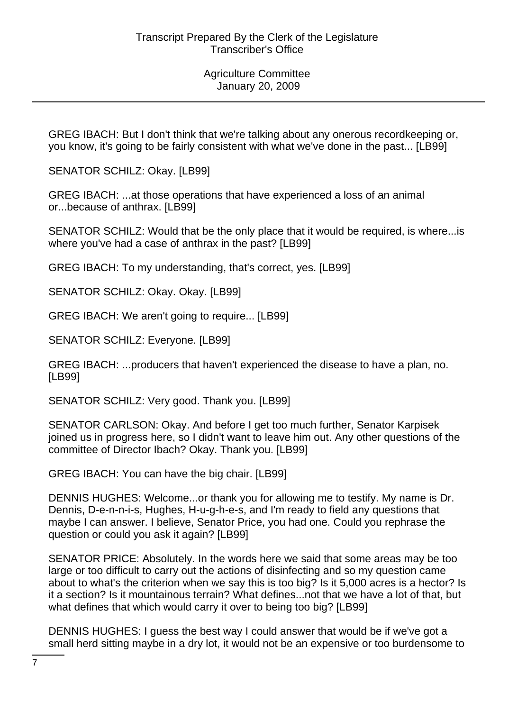GREG IBACH: But I don't think that we're talking about any onerous recordkeeping or, you know, it's going to be fairly consistent with what we've done in the past... [LB99]

SENATOR SCHILZ: Okay. [LB99]

GREG IBACH: ...at those operations that have experienced a loss of an animal or...because of anthrax. [LB99]

SENATOR SCHILZ: Would that be the only place that it would be required, is where...is where you've had a case of anthrax in the past? [LB99]

GREG IBACH: To my understanding, that's correct, yes. [LB99]

SENATOR SCHILZ: Okay. Okay. [LB99]

GREG IBACH: We aren't going to require... [LB99]

SENATOR SCHILZ: Everyone. [LB99]

GREG IBACH: ...producers that haven't experienced the disease to have a plan, no. [LB99]

SENATOR SCHILZ: Very good. Thank you. [LB99]

SENATOR CARLSON: Okay. And before I get too much further, Senator Karpisek joined us in progress here, so I didn't want to leave him out. Any other questions of the committee of Director Ibach? Okay. Thank you. [LB99]

GREG IBACH: You can have the big chair. [LB99]

DENNIS HUGHES: Welcome...or thank you for allowing me to testify. My name is Dr. Dennis, D-e-n-n-i-s, Hughes, H-u-g-h-e-s, and I'm ready to field any questions that maybe I can answer. I believe, Senator Price, you had one. Could you rephrase the question or could you ask it again? [LB99]

SENATOR PRICE: Absolutely. In the words here we said that some areas may be too large or too difficult to carry out the actions of disinfecting and so my question came about to what's the criterion when we say this is too big? Is it 5,000 acres is a hector? Is it a section? Is it mountainous terrain? What defines...not that we have a lot of that, but what defines that which would carry it over to being too big? [LB99]

DENNIS HUGHES: I guess the best way I could answer that would be if we've got a small herd sitting maybe in a dry lot, it would not be an expensive or too burdensome to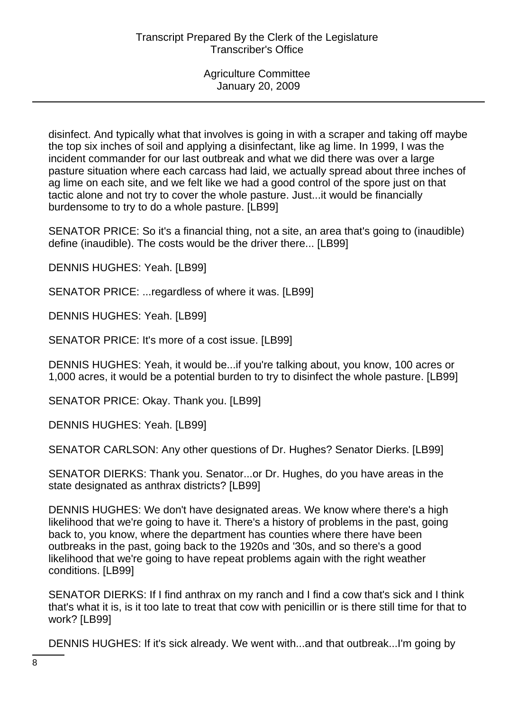disinfect. And typically what that involves is going in with a scraper and taking off maybe the top six inches of soil and applying a disinfectant, like ag lime. In 1999, I was the incident commander for our last outbreak and what we did there was over a large pasture situation where each carcass had laid, we actually spread about three inches of ag lime on each site, and we felt like we had a good control of the spore just on that tactic alone and not try to cover the whole pasture. Just...it would be financially burdensome to try to do a whole pasture. [LB99]

SENATOR PRICE: So it's a financial thing, not a site, an area that's going to (inaudible) define (inaudible). The costs would be the driver there... [LB99]

DENNIS HUGHES: Yeah. [LB99]

SENATOR PRICE: ...regardless of where it was. [LB99]

DENNIS HUGHES: Yeah. [LB99]

SENATOR PRICE: It's more of a cost issue. [LB99]

DENNIS HUGHES: Yeah, it would be...if you're talking about, you know, 100 acres or 1,000 acres, it would be a potential burden to try to disinfect the whole pasture. [LB99]

SENATOR PRICE: Okay. Thank you. [LB99]

DENNIS HUGHES: Yeah. [LB99]

SENATOR CARLSON: Any other questions of Dr. Hughes? Senator Dierks. [LB99]

SENATOR DIERKS: Thank you. Senator...or Dr. Hughes, do you have areas in the state designated as anthrax districts? [LB99]

DENNIS HUGHES: We don't have designated areas. We know where there's a high likelihood that we're going to have it. There's a history of problems in the past, going back to, you know, where the department has counties where there have been outbreaks in the past, going back to the 1920s and '30s, and so there's a good likelihood that we're going to have repeat problems again with the right weather conditions. [LB99]

SENATOR DIERKS: If I find anthrax on my ranch and I find a cow that's sick and I think that's what it is, is it too late to treat that cow with penicillin or is there still time for that to work? [LB99]

DENNIS HUGHES: If it's sick already. We went with...and that outbreak...I'm going by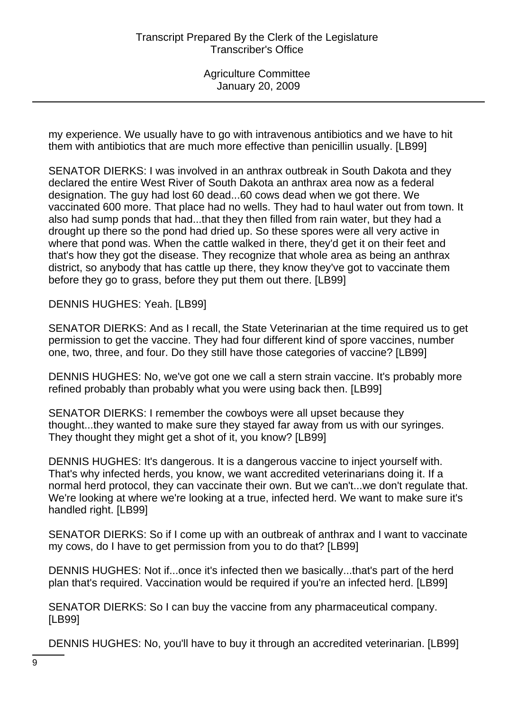my experience. We usually have to go with intravenous antibiotics and we have to hit them with antibiotics that are much more effective than penicillin usually. [LB99]

SENATOR DIERKS: I was involved in an anthrax outbreak in South Dakota and they declared the entire West River of South Dakota an anthrax area now as a federal designation. The guy had lost 60 dead...60 cows dead when we got there. We vaccinated 600 more. That place had no wells. They had to haul water out from town. It also had sump ponds that had...that they then filled from rain water, but they had a drought up there so the pond had dried up. So these spores were all very active in where that pond was. When the cattle walked in there, they'd get it on their feet and that's how they got the disease. They recognize that whole area as being an anthrax district, so anybody that has cattle up there, they know they've got to vaccinate them before they go to grass, before they put them out there. [LB99]

DENNIS HUGHES: Yeah. [LB99]

SENATOR DIERKS: And as I recall, the State Veterinarian at the time required us to get permission to get the vaccine. They had four different kind of spore vaccines, number one, two, three, and four. Do they still have those categories of vaccine? [LB99]

DENNIS HUGHES: No, we've got one we call a stern strain vaccine. It's probably more refined probably than probably what you were using back then. [LB99]

SENATOR DIERKS: I remember the cowboys were all upset because they thought...they wanted to make sure they stayed far away from us with our syringes. They thought they might get a shot of it, you know? [LB99]

DENNIS HUGHES: It's dangerous. It is a dangerous vaccine to inject yourself with. That's why infected herds, you know, we want accredited veterinarians doing it. If a normal herd protocol, they can vaccinate their own. But we can't...we don't regulate that. We're looking at where we're looking at a true, infected herd. We want to make sure it's handled right. [LB99]

SENATOR DIERKS: So if I come up with an outbreak of anthrax and I want to vaccinate my cows, do I have to get permission from you to do that? [LB99]

DENNIS HUGHES: Not if...once it's infected then we basically...that's part of the herd plan that's required. Vaccination would be required if you're an infected herd. [LB99]

SENATOR DIERKS: So I can buy the vaccine from any pharmaceutical company. [LB99]

DENNIS HUGHES: No, you'll have to buy it through an accredited veterinarian. [LB99]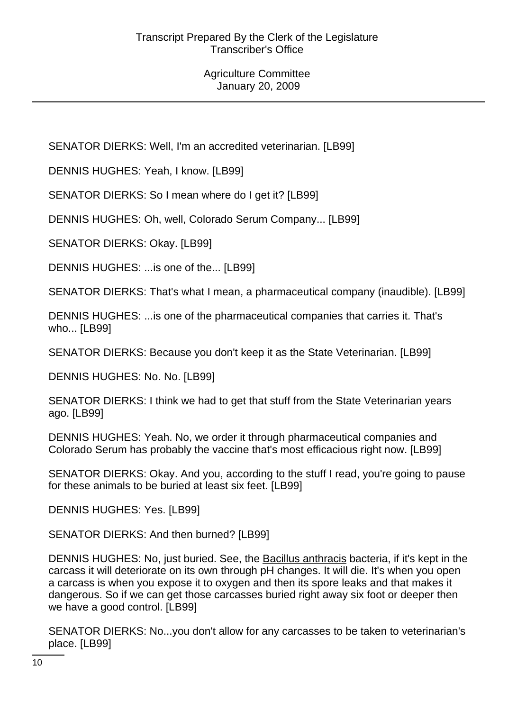SENATOR DIERKS: Well, I'm an accredited veterinarian. [LB99]

DENNIS HUGHES: Yeah, I know. [LB99]

SENATOR DIERKS: So I mean where do I get it? [LB99]

DENNIS HUGHES: Oh, well, Colorado Serum Company... [LB99]

SENATOR DIERKS: Okay. [LB99]

DENNIS HUGHES: ...is one of the... [LB99]

SENATOR DIERKS: That's what I mean, a pharmaceutical company (inaudible). [LB99]

DENNIS HUGHES: ...is one of the pharmaceutical companies that carries it. That's who... [LB99]

SENATOR DIERKS: Because you don't keep it as the State Veterinarian. [LB99]

DENNIS HUGHES: No. No. [LB99]

SENATOR DIERKS: I think we had to get that stuff from the State Veterinarian years ago. [LB99]

DENNIS HUGHES: Yeah. No, we order it through pharmaceutical companies and Colorado Serum has probably the vaccine that's most efficacious right now. [LB99]

SENATOR DIERKS: Okay. And you, according to the stuff I read, you're going to pause for these animals to be buried at least six feet. [LB99]

DENNIS HUGHES: Yes. [LB99]

SENATOR DIERKS: And then burned? [LB99]

DENNIS HUGHES: No, just buried. See, the Bacillus anthracis bacteria, if it's kept in the carcass it will deteriorate on its own through pH changes. It will die. It's when you open a carcass is when you expose it to oxygen and then its spore leaks and that makes it dangerous. So if we can get those carcasses buried right away six foot or deeper then we have a good control. [LB99]

SENATOR DIERKS: No...you don't allow for any carcasses to be taken to veterinarian's place. [LB99]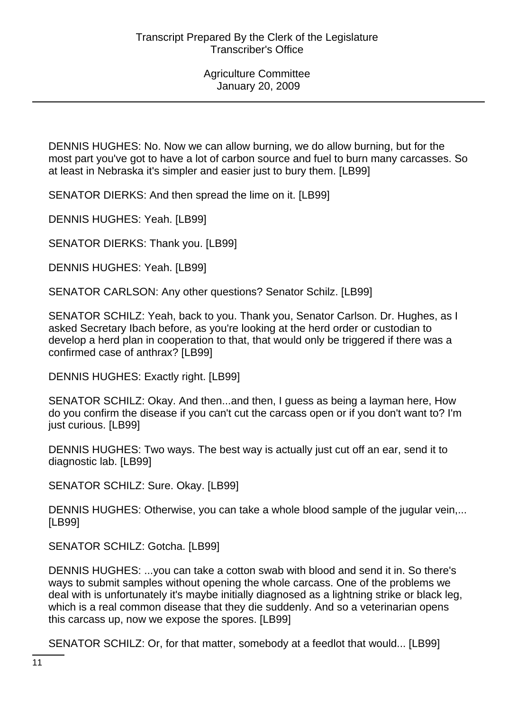DENNIS HUGHES: No. Now we can allow burning, we do allow burning, but for the most part you've got to have a lot of carbon source and fuel to burn many carcasses. So at least in Nebraska it's simpler and easier just to bury them. [LB99]

SENATOR DIERKS: And then spread the lime on it. [LB99]

DENNIS HUGHES: Yeah. [LB99]

SENATOR DIERKS: Thank you. [LB99]

DENNIS HUGHES: Yeah. [LB99]

SENATOR CARLSON: Any other questions? Senator Schilz. [LB99]

SENATOR SCHILZ: Yeah, back to you. Thank you, Senator Carlson. Dr. Hughes, as I asked Secretary Ibach before, as you're looking at the herd order or custodian to develop a herd plan in cooperation to that, that would only be triggered if there was a confirmed case of anthrax? [LB99]

DENNIS HUGHES: Exactly right. [LB99]

SENATOR SCHILZ: Okay. And then...and then, I guess as being a layman here, How do you confirm the disease if you can't cut the carcass open or if you don't want to? I'm just curious. [LB99]

DENNIS HUGHES: Two ways. The best way is actually just cut off an ear, send it to diagnostic lab. [LB99]

SENATOR SCHILZ: Sure. Okay. [LB99]

DENNIS HUGHES: Otherwise, you can take a whole blood sample of the jugular vein,... [LB99]

SENATOR SCHILZ: Gotcha. [LB99]

DENNIS HUGHES: ...you can take a cotton swab with blood and send it in. So there's ways to submit samples without opening the whole carcass. One of the problems we deal with is unfortunately it's maybe initially diagnosed as a lightning strike or black leg, which is a real common disease that they die suddenly. And so a veterinarian opens this carcass up, now we expose the spores. [LB99]

SENATOR SCHILZ: Or, for that matter, somebody at a feedlot that would... [LB99]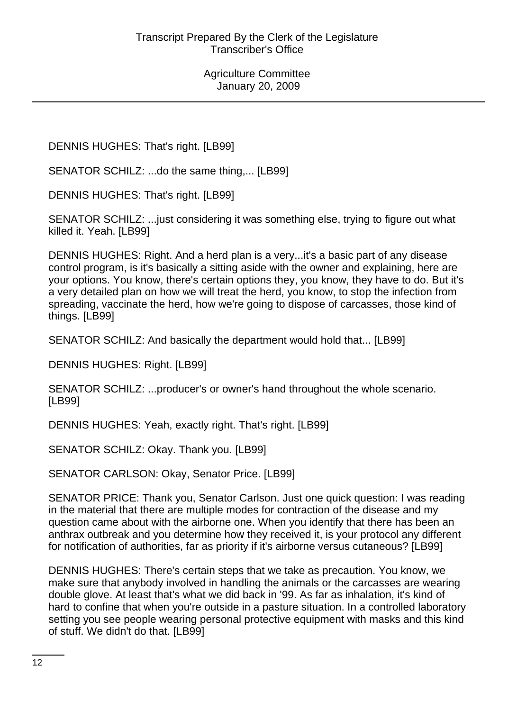DENNIS HUGHES: That's right. [LB99]

SENATOR SCHILZ: ...do the same thing,... [LB99]

DENNIS HUGHES: That's right. [LB99]

SENATOR SCHILZ: ...just considering it was something else, trying to figure out what killed it. Yeah. [LB99]

DENNIS HUGHES: Right. And a herd plan is a very...it's a basic part of any disease control program, is it's basically a sitting aside with the owner and explaining, here are your options. You know, there's certain options they, you know, they have to do. But it's a very detailed plan on how we will treat the herd, you know, to stop the infection from spreading, vaccinate the herd, how we're going to dispose of carcasses, those kind of things. [LB99]

SENATOR SCHILZ: And basically the department would hold that... [LB99]

DENNIS HUGHES: Right. [LB99]

SENATOR SCHILZ: ...producer's or owner's hand throughout the whole scenario. [LB99]

DENNIS HUGHES: Yeah, exactly right. That's right. [LB99]

SENATOR SCHILZ: Okay. Thank you. [LB99]

SENATOR CARLSON: Okay, Senator Price. [LB99]

SENATOR PRICE: Thank you, Senator Carlson. Just one quick question: I was reading in the material that there are multiple modes for contraction of the disease and my question came about with the airborne one. When you identify that there has been an anthrax outbreak and you determine how they received it, is your protocol any different for notification of authorities, far as priority if it's airborne versus cutaneous? [LB99]

DENNIS HUGHES: There's certain steps that we take as precaution. You know, we make sure that anybody involved in handling the animals or the carcasses are wearing double glove. At least that's what we did back in '99. As far as inhalation, it's kind of hard to confine that when you're outside in a pasture situation. In a controlled laboratory setting you see people wearing personal protective equipment with masks and this kind of stuff. We didn't do that. [LB99]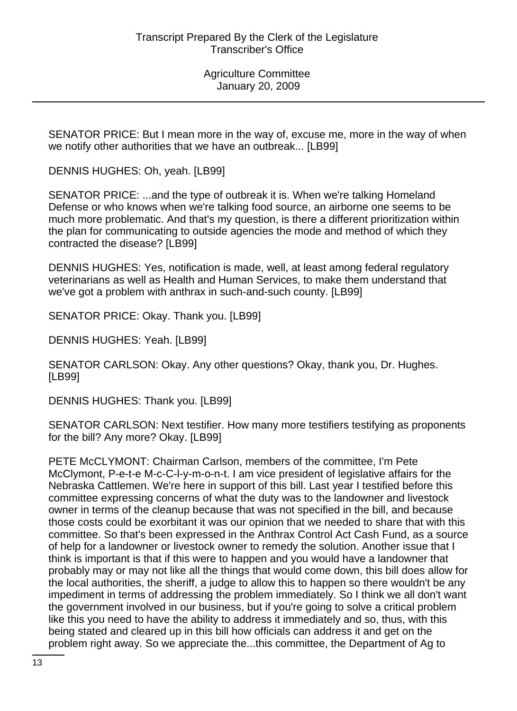SENATOR PRICE: But I mean more in the way of, excuse me, more in the way of when we notify other authorities that we have an outbreak... [LB99]

DENNIS HUGHES: Oh, yeah. [LB99]

SENATOR PRICE: ...and the type of outbreak it is. When we're talking Homeland Defense or who knows when we're talking food source, an airborne one seems to be much more problematic. And that's my question, is there a different prioritization within the plan for communicating to outside agencies the mode and method of which they contracted the disease? [LB99]

DENNIS HUGHES: Yes, notification is made, well, at least among federal regulatory veterinarians as well as Health and Human Services, to make them understand that we've got a problem with anthrax in such-and-such county. [LB99]

SENATOR PRICE: Okay. Thank you. [LB99]

DENNIS HUGHES: Yeah. [LB99]

SENATOR CARLSON: Okay. Any other questions? Okay, thank you, Dr. Hughes. [LB99]

DENNIS HUGHES: Thank you. [LB99]

SENATOR CARLSON: Next testifier. How many more testifiers testifying as proponents for the bill? Any more? Okay. [LB99]

PETE McCLYMONT: Chairman Carlson, members of the committee, I'm Pete McClymont, P-e-t-e M-c-C-l-y-m-o-n-t. I am vice president of legislative affairs for the Nebraska Cattlemen. We're here in support of this bill. Last year I testified before this committee expressing concerns of what the duty was to the landowner and livestock owner in terms of the cleanup because that was not specified in the bill, and because those costs could be exorbitant it was our opinion that we needed to share that with this committee. So that's been expressed in the Anthrax Control Act Cash Fund, as a source of help for a landowner or livestock owner to remedy the solution. Another issue that I think is important is that if this were to happen and you would have a landowner that probably may or may not like all the things that would come down, this bill does allow for the local authorities, the sheriff, a judge to allow this to happen so there wouldn't be any impediment in terms of addressing the problem immediately. So I think we all don't want the government involved in our business, but if you're going to solve a critical problem like this you need to have the ability to address it immediately and so, thus, with this being stated and cleared up in this bill how officials can address it and get on the problem right away. So we appreciate the...this committee, the Department of Ag to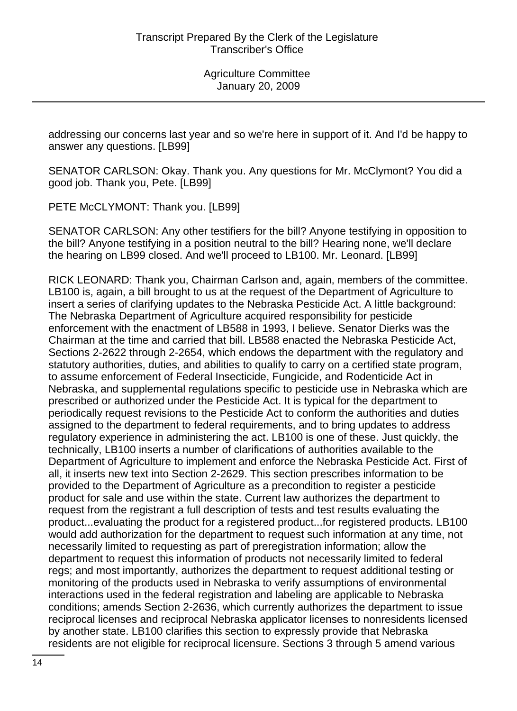addressing our concerns last year and so we're here in support of it. And I'd be happy to answer any questions. [LB99]

SENATOR CARLSON: Okay. Thank you. Any questions for Mr. McClymont? You did a good job. Thank you, Pete. [LB99]

PETE McCLYMONT: Thank you. [LB99]

SENATOR CARLSON: Any other testifiers for the bill? Anyone testifying in opposition to the bill? Anyone testifying in a position neutral to the bill? Hearing none, we'll declare the hearing on LB99 closed. And we'll proceed to LB100. Mr. Leonard. [LB99]

RICK LEONARD: Thank you, Chairman Carlson and, again, members of the committee. LB100 is, again, a bill brought to us at the request of the Department of Agriculture to insert a series of clarifying updates to the Nebraska Pesticide Act. A little background: The Nebraska Department of Agriculture acquired responsibility for pesticide enforcement with the enactment of LB588 in 1993, I believe. Senator Dierks was the Chairman at the time and carried that bill. LB588 enacted the Nebraska Pesticide Act, Sections 2-2622 through 2-2654, which endows the department with the regulatory and statutory authorities, duties, and abilities to qualify to carry on a certified state program, to assume enforcement of Federal Insecticide, Fungicide, and Rodenticide Act in Nebraska, and supplemental regulations specific to pesticide use in Nebraska which are prescribed or authorized under the Pesticide Act. It is typical for the department to periodically request revisions to the Pesticide Act to conform the authorities and duties assigned to the department to federal requirements, and to bring updates to address regulatory experience in administering the act. LB100 is one of these. Just quickly, the technically, LB100 inserts a number of clarifications of authorities available to the Department of Agriculture to implement and enforce the Nebraska Pesticide Act. First of all, it inserts new text into Section 2-2629. This section prescribes information to be provided to the Department of Agriculture as a precondition to register a pesticide product for sale and use within the state. Current law authorizes the department to request from the registrant a full description of tests and test results evaluating the product...evaluating the product for a registered product...for registered products. LB100 would add authorization for the department to request such information at any time, not necessarily limited to requesting as part of preregistration information; allow the department to request this information of products not necessarily limited to federal regs; and most importantly, authorizes the department to request additional testing or monitoring of the products used in Nebraska to verify assumptions of environmental interactions used in the federal registration and labeling are applicable to Nebraska conditions; amends Section 2-2636, which currently authorizes the department to issue reciprocal licenses and reciprocal Nebraska applicator licenses to nonresidents licensed by another state. LB100 clarifies this section to expressly provide that Nebraska residents are not eligible for reciprocal licensure. Sections 3 through 5 amend various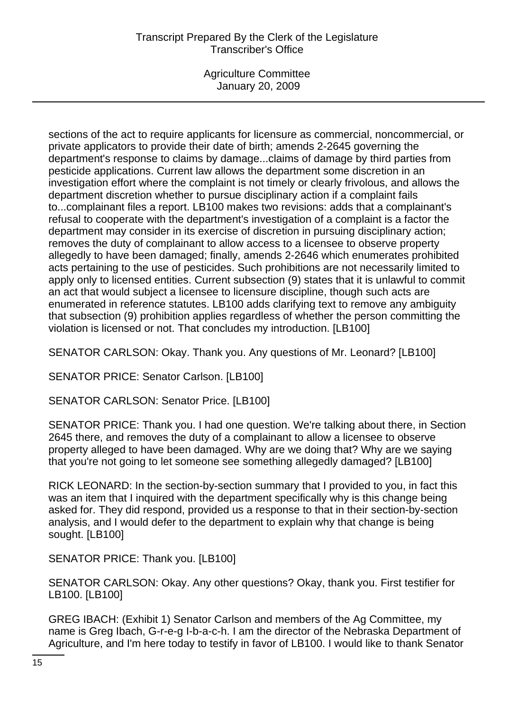# Transcript Prepared By the Clerk of the Legislature Transcriber's Office

Agriculture Committee January 20, 2009

sections of the act to require applicants for licensure as commercial, noncommercial, or private applicators to provide their date of birth; amends 2-2645 governing the department's response to claims by damage...claims of damage by third parties from pesticide applications. Current law allows the department some discretion in an investigation effort where the complaint is not timely or clearly frivolous, and allows the department discretion whether to pursue disciplinary action if a complaint fails to...complainant files a report. LB100 makes two revisions: adds that a complainant's refusal to cooperate with the department's investigation of a complaint is a factor the department may consider in its exercise of discretion in pursuing disciplinary action; removes the duty of complainant to allow access to a licensee to observe property allegedly to have been damaged; finally, amends 2-2646 which enumerates prohibited acts pertaining to the use of pesticides. Such prohibitions are not necessarily limited to apply only to licensed entities. Current subsection (9) states that it is unlawful to commit an act that would subject a licensee to licensure discipline, though such acts are enumerated in reference statutes. LB100 adds clarifying text to remove any ambiguity that subsection (9) prohibition applies regardless of whether the person committing the violation is licensed or not. That concludes my introduction. [LB100]

SENATOR CARLSON: Okay. Thank you. Any questions of Mr. Leonard? [LB100]

SENATOR PRICE: Senator Carlson. [LB100]

SENATOR CARLSON: Senator Price. [LB100]

SENATOR PRICE: Thank you. I had one question. We're talking about there, in Section 2645 there, and removes the duty of a complainant to allow a licensee to observe property alleged to have been damaged. Why are we doing that? Why are we saying that you're not going to let someone see something allegedly damaged? [LB100]

RICK LEONARD: In the section-by-section summary that I provided to you, in fact this was an item that I inquired with the department specifically why is this change being asked for. They did respond, provided us a response to that in their section-by-section analysis, and I would defer to the department to explain why that change is being sought. [LB100]

SENATOR PRICE: Thank you. [LB100]

SENATOR CARLSON: Okay. Any other questions? Okay, thank you. First testifier for LB100. [LB100]

GREG IBACH: (Exhibit 1) Senator Carlson and members of the Ag Committee, my name is Greg Ibach, G-r-e-g I-b-a-c-h. I am the director of the Nebraska Department of Agriculture, and I'm here today to testify in favor of LB100. I would like to thank Senator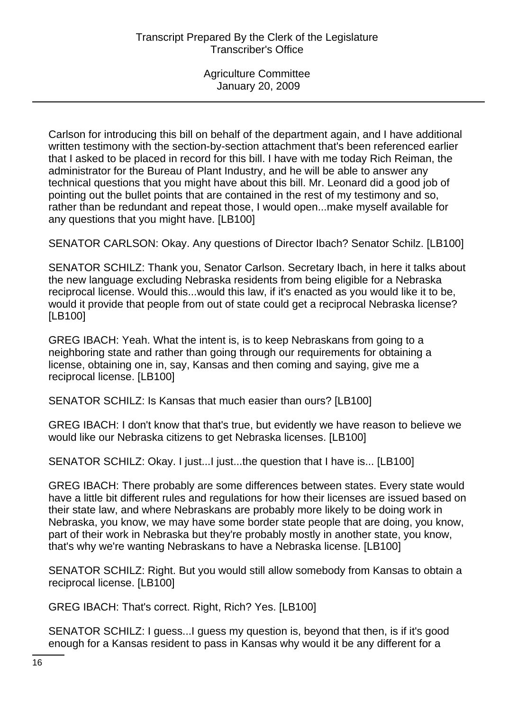Carlson for introducing this bill on behalf of the department again, and I have additional written testimony with the section-by-section attachment that's been referenced earlier that I asked to be placed in record for this bill. I have with me today Rich Reiman, the administrator for the Bureau of Plant Industry, and he will be able to answer any technical questions that you might have about this bill. Mr. Leonard did a good job of pointing out the bullet points that are contained in the rest of my testimony and so, rather than be redundant and repeat those, I would open...make myself available for any questions that you might have. [LB100]

SENATOR CARLSON: Okay. Any questions of Director Ibach? Senator Schilz. [LB100]

SENATOR SCHILZ: Thank you, Senator Carlson. Secretary Ibach, in here it talks about the new language excluding Nebraska residents from being eligible for a Nebraska reciprocal license. Would this...would this law, if it's enacted as you would like it to be, would it provide that people from out of state could get a reciprocal Nebraska license? [LB100]

GREG IBACH: Yeah. What the intent is, is to keep Nebraskans from going to a neighboring state and rather than going through our requirements for obtaining a license, obtaining one in, say, Kansas and then coming and saying, give me a reciprocal license. [LB100]

SENATOR SCHILZ: Is Kansas that much easier than ours? [LB100]

GREG IBACH: I don't know that that's true, but evidently we have reason to believe we would like our Nebraska citizens to get Nebraska licenses. [LB100]

SENATOR SCHILZ: Okay. I just...I just...the question that I have is... [LB100]

GREG IBACH: There probably are some differences between states. Every state would have a little bit different rules and regulations for how their licenses are issued based on their state law, and where Nebraskans are probably more likely to be doing work in Nebraska, you know, we may have some border state people that are doing, you know, part of their work in Nebraska but they're probably mostly in another state, you know, that's why we're wanting Nebraskans to have a Nebraska license. [LB100]

SENATOR SCHILZ: Right. But you would still allow somebody from Kansas to obtain a reciprocal license. [LB100]

GREG IBACH: That's correct. Right, Rich? Yes. [LB100]

SENATOR SCHILZ: I guess...I guess my question is, beyond that then, is if it's good enough for a Kansas resident to pass in Kansas why would it be any different for a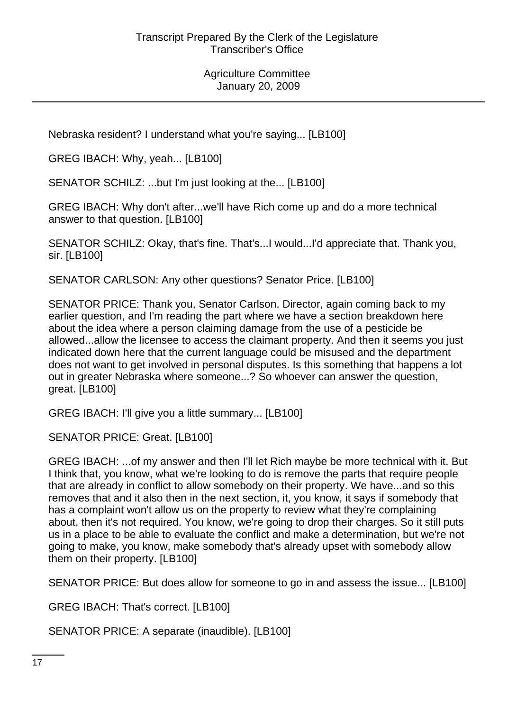Nebraska resident? I understand what you're saying... [LB100]

GREG IBACH: Why, yeah... [LB100]

SENATOR SCHILZ: ...but I'm just looking at the... [LB100]

GREG IBACH: Why don't after...we'll have Rich come up and do a more technical answer to that question. [LB100]

SENATOR SCHILZ: Okay, that's fine. That's...I would...I'd appreciate that. Thank you, sir. [LB100]

SENATOR CARLSON: Any other questions? Senator Price. [LB100]

SENATOR PRICE: Thank you, Senator Carlson. Director, again coming back to my earlier question, and I'm reading the part where we have a section breakdown here about the idea where a person claiming damage from the use of a pesticide be allowed...allow the licensee to access the claimant property. And then it seems you just indicated down here that the current language could be misused and the department does not want to get involved in personal disputes. Is this something that happens a lot out in greater Nebraska where someone...? So whoever can answer the question, great. [LB100]

GREG IBACH: I'll give you a little summary... [LB100]

SENATOR PRICE: Great. [LB100]

GREG IBACH: ...of my answer and then I'll let Rich maybe be more technical with it. But I think that, you know, what we're looking to do is remove the parts that require people that are already in conflict to allow somebody on their property. We have...and so this removes that and it also then in the next section, it, you know, it says if somebody that has a complaint won't allow us on the property to review what they're complaining about, then it's not required. You know, we're going to drop their charges. So it still puts us in a place to be able to evaluate the conflict and make a determination, but we're not going to make, you know, make somebody that's already upset with somebody allow them on their property. [LB100]

SENATOR PRICE: But does allow for someone to go in and assess the issue... [LB100]

GREG IBACH: That's correct. [LB100]

SENATOR PRICE: A separate (inaudible). [LB100]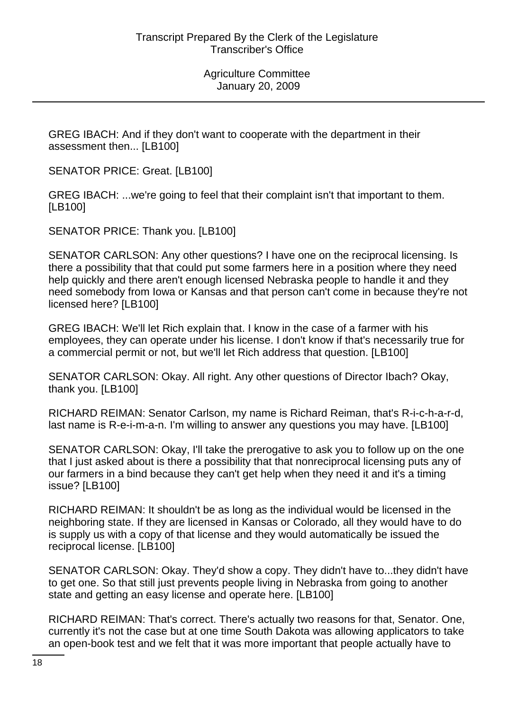GREG IBACH: And if they don't want to cooperate with the department in their assessment then... [LB100]

SENATOR PRICE: Great. [LB100]

GREG IBACH: ...we're going to feel that their complaint isn't that important to them. [LB100]

SENATOR PRICE: Thank you. [LB100]

SENATOR CARLSON: Any other questions? I have one on the reciprocal licensing. Is there a possibility that that could put some farmers here in a position where they need help quickly and there aren't enough licensed Nebraska people to handle it and they need somebody from Iowa or Kansas and that person can't come in because they're not licensed here? [LB100]

GREG IBACH: We'll let Rich explain that. I know in the case of a farmer with his employees, they can operate under his license. I don't know if that's necessarily true for a commercial permit or not, but we'll let Rich address that question. [LB100]

SENATOR CARLSON: Okay. All right. Any other questions of Director Ibach? Okay, thank you. [LB100]

RICHARD REIMAN: Senator Carlson, my name is Richard Reiman, that's R-i-c-h-a-r-d, last name is R-e-i-m-a-n. I'm willing to answer any questions you may have. [LB100]

SENATOR CARLSON: Okay, I'll take the prerogative to ask you to follow up on the one that I just asked about is there a possibility that that nonreciprocal licensing puts any of our farmers in a bind because they can't get help when they need it and it's a timing issue? [LB100]

RICHARD REIMAN: It shouldn't be as long as the individual would be licensed in the neighboring state. If they are licensed in Kansas or Colorado, all they would have to do is supply us with a copy of that license and they would automatically be issued the reciprocal license. [LB100]

SENATOR CARLSON: Okay. They'd show a copy. They didn't have to...they didn't have to get one. So that still just prevents people living in Nebraska from going to another state and getting an easy license and operate here. [LB100]

RICHARD REIMAN: That's correct. There's actually two reasons for that, Senator. One, currently it's not the case but at one time South Dakota was allowing applicators to take an open-book test and we felt that it was more important that people actually have to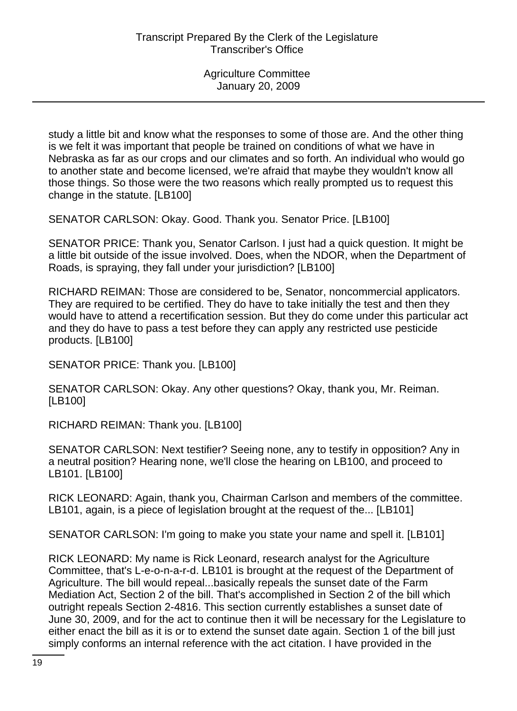study a little bit and know what the responses to some of those are. And the other thing is we felt it was important that people be trained on conditions of what we have in Nebraska as far as our crops and our climates and so forth. An individual who would go to another state and become licensed, we're afraid that maybe they wouldn't know all those things. So those were the two reasons which really prompted us to request this change in the statute. [LB100]

SENATOR CARLSON: Okay. Good. Thank you. Senator Price. [LB100]

SENATOR PRICE: Thank you, Senator Carlson. I just had a quick question. It might be a little bit outside of the issue involved. Does, when the NDOR, when the Department of Roads, is spraying, they fall under your jurisdiction? [LB100]

RICHARD REIMAN: Those are considered to be, Senator, noncommercial applicators. They are required to be certified. They do have to take initially the test and then they would have to attend a recertification session. But they do come under this particular act and they do have to pass a test before they can apply any restricted use pesticide products. [LB100]

SENATOR PRICE: Thank you. [LB100]

SENATOR CARLSON: Okay. Any other questions? Okay, thank you, Mr. Reiman. [LB100]

RICHARD REIMAN: Thank you. [LB100]

SENATOR CARLSON: Next testifier? Seeing none, any to testify in opposition? Any in a neutral position? Hearing none, we'll close the hearing on LB100, and proceed to LB101. [LB100]

RICK LEONARD: Again, thank you, Chairman Carlson and members of the committee. LB101, again, is a piece of legislation brought at the request of the... [LB101]

SENATOR CARLSON: I'm going to make you state your name and spell it. [LB101]

RICK LEONARD: My name is Rick Leonard, research analyst for the Agriculture Committee, that's L-e-o-n-a-r-d. LB101 is brought at the request of the Department of Agriculture. The bill would repeal...basically repeals the sunset date of the Farm Mediation Act, Section 2 of the bill. That's accomplished in Section 2 of the bill which outright repeals Section 2-4816. This section currently establishes a sunset date of June 30, 2009, and for the act to continue then it will be necessary for the Legislature to either enact the bill as it is or to extend the sunset date again. Section 1 of the bill just simply conforms an internal reference with the act citation. I have provided in the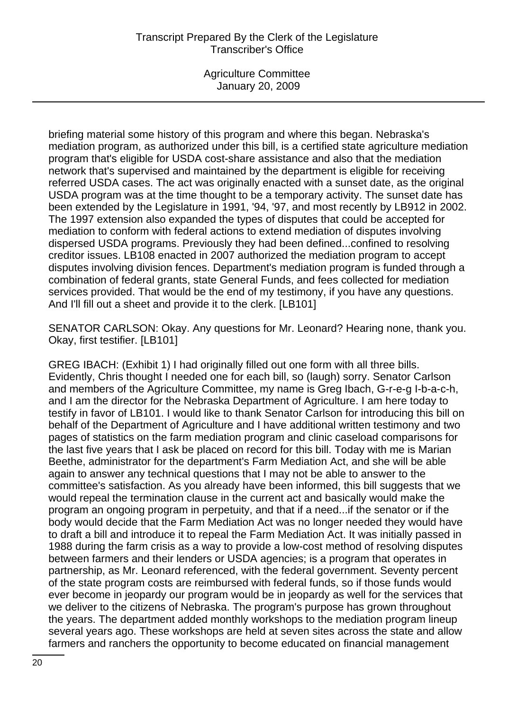# Transcript Prepared By the Clerk of the Legislature Transcriber's Office

Agriculture Committee January 20, 2009

briefing material some history of this program and where this began. Nebraska's mediation program, as authorized under this bill, is a certified state agriculture mediation program that's eligible for USDA cost-share assistance and also that the mediation network that's supervised and maintained by the department is eligible for receiving referred USDA cases. The act was originally enacted with a sunset date, as the original USDA program was at the time thought to be a temporary activity. The sunset date has been extended by the Legislature in 1991, '94, '97, and most recently by LB912 in 2002. The 1997 extension also expanded the types of disputes that could be accepted for mediation to conform with federal actions to extend mediation of disputes involving dispersed USDA programs. Previously they had been defined...confined to resolving creditor issues. LB108 enacted in 2007 authorized the mediation program to accept disputes involving division fences. Department's mediation program is funded through a combination of federal grants, state General Funds, and fees collected for mediation services provided. That would be the end of my testimony, if you have any questions. And I'll fill out a sheet and provide it to the clerk. [LB101]

SENATOR CARLSON: Okay. Any questions for Mr. Leonard? Hearing none, thank you. Okay, first testifier. [LB101]

GREG IBACH: (Exhibit 1) I had originally filled out one form with all three bills. Evidently, Chris thought I needed one for each bill, so (laugh) sorry. Senator Carlson and members of the Agriculture Committee, my name is Greg Ibach, G-r-e-g I-b-a-c-h, and I am the director for the Nebraska Department of Agriculture. I am here today to testify in favor of LB101. I would like to thank Senator Carlson for introducing this bill on behalf of the Department of Agriculture and I have additional written testimony and two pages of statistics on the farm mediation program and clinic caseload comparisons for the last five years that I ask be placed on record for this bill. Today with me is Marian Beethe, administrator for the department's Farm Mediation Act, and she will be able again to answer any technical questions that I may not be able to answer to the committee's satisfaction. As you already have been informed, this bill suggests that we would repeal the termination clause in the current act and basically would make the program an ongoing program in perpetuity, and that if a need...if the senator or if the body would decide that the Farm Mediation Act was no longer needed they would have to draft a bill and introduce it to repeal the Farm Mediation Act. It was initially passed in 1988 during the farm crisis as a way to provide a low-cost method of resolving disputes between farmers and their lenders or USDA agencies; is a program that operates in partnership, as Mr. Leonard referenced, with the federal government. Seventy percent of the state program costs are reimbursed with federal funds, so if those funds would ever become in jeopardy our program would be in jeopardy as well for the services that we deliver to the citizens of Nebraska. The program's purpose has grown throughout the years. The department added monthly workshops to the mediation program lineup several years ago. These workshops are held at seven sites across the state and allow farmers and ranchers the opportunity to become educated on financial management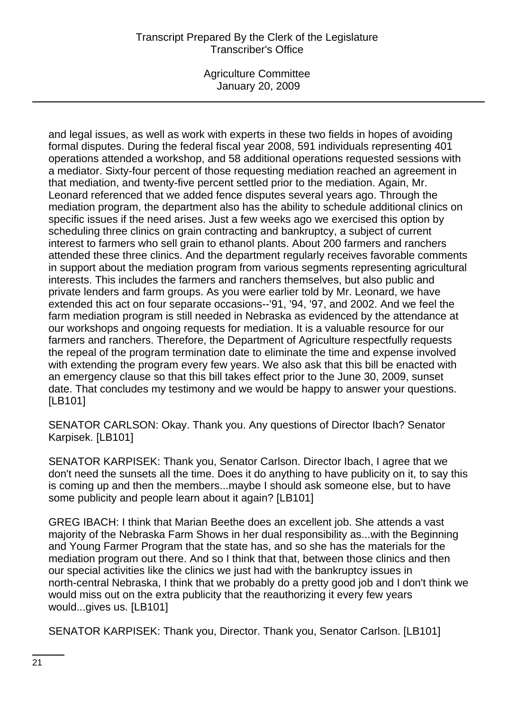# Transcript Prepared By the Clerk of the Legislature Transcriber's Office

Agriculture Committee January 20, 2009

and legal issues, as well as work with experts in these two fields in hopes of avoiding formal disputes. During the federal fiscal year 2008, 591 individuals representing 401 operations attended a workshop, and 58 additional operations requested sessions with a mediator. Sixty-four percent of those requesting mediation reached an agreement in that mediation, and twenty-five percent settled prior to the mediation. Again, Mr. Leonard referenced that we added fence disputes several years ago. Through the mediation program, the department also has the ability to schedule additional clinics on specific issues if the need arises. Just a few weeks ago we exercised this option by scheduling three clinics on grain contracting and bankruptcy, a subject of current interest to farmers who sell grain to ethanol plants. About 200 farmers and ranchers attended these three clinics. And the department regularly receives favorable comments in support about the mediation program from various segments representing agricultural interests. This includes the farmers and ranchers themselves, but also public and private lenders and farm groups. As you were earlier told by Mr. Leonard, we have extended this act on four separate occasions--'91, '94, '97, and 2002. And we feel the farm mediation program is still needed in Nebraska as evidenced by the attendance at our workshops and ongoing requests for mediation. It is a valuable resource for our farmers and ranchers. Therefore, the Department of Agriculture respectfully requests the repeal of the program termination date to eliminate the time and expense involved with extending the program every few years. We also ask that this bill be enacted with an emergency clause so that this bill takes effect prior to the June 30, 2009, sunset date. That concludes my testimony and we would be happy to answer your questions. [LB101]

SENATOR CARLSON: Okay. Thank you. Any questions of Director Ibach? Senator Karpisek. [LB101]

SENATOR KARPISEK: Thank you, Senator Carlson. Director Ibach, I agree that we don't need the sunsets all the time. Does it do anything to have publicity on it, to say this is coming up and then the members...maybe I should ask someone else, but to have some publicity and people learn about it again? [LB101]

GREG IBACH: I think that Marian Beethe does an excellent job. She attends a vast majority of the Nebraska Farm Shows in her dual responsibility as...with the Beginning and Young Farmer Program that the state has, and so she has the materials for the mediation program out there. And so I think that that, between those clinics and then our special activities like the clinics we just had with the bankruptcy issues in north-central Nebraska, I think that we probably do a pretty good job and I don't think we would miss out on the extra publicity that the reauthorizing it every few years would...gives us. [LB101]

SENATOR KARPISEK: Thank you, Director. Thank you, Senator Carlson. [LB101]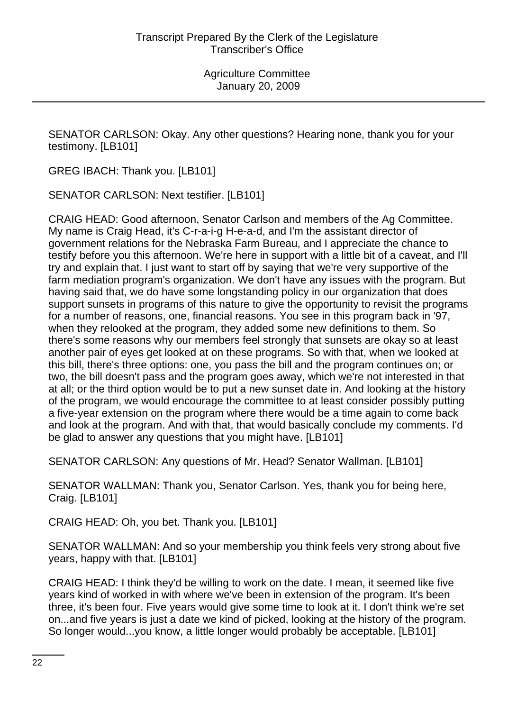SENATOR CARLSON: Okay. Any other questions? Hearing none, thank you for your testimony. [LB101]

GREG IBACH: Thank you. [LB101]

SENATOR CARLSON: Next testifier. [LB101]

CRAIG HEAD: Good afternoon, Senator Carlson and members of the Ag Committee. My name is Craig Head, it's C-r-a-i-g H-e-a-d, and I'm the assistant director of government relations for the Nebraska Farm Bureau, and I appreciate the chance to testify before you this afternoon. We're here in support with a little bit of a caveat, and I'll try and explain that. I just want to start off by saying that we're very supportive of the farm mediation program's organization. We don't have any issues with the program. But having said that, we do have some longstanding policy in our organization that does support sunsets in programs of this nature to give the opportunity to revisit the programs for a number of reasons, one, financial reasons. You see in this program back in '97, when they relooked at the program, they added some new definitions to them. So there's some reasons why our members feel strongly that sunsets are okay so at least another pair of eyes get looked at on these programs. So with that, when we looked at this bill, there's three options: one, you pass the bill and the program continues on; or two, the bill doesn't pass and the program goes away, which we're not interested in that at all; or the third option would be to put a new sunset date in. And looking at the history of the program, we would encourage the committee to at least consider possibly putting a five-year extension on the program where there would be a time again to come back and look at the program. And with that, that would basically conclude my comments. I'd be glad to answer any questions that you might have. [LB101]

SENATOR CARLSON: Any questions of Mr. Head? Senator Wallman. [LB101]

SENATOR WALLMAN: Thank you, Senator Carlson. Yes, thank you for being here, Craig. [LB101]

CRAIG HEAD: Oh, you bet. Thank you. [LB101]

SENATOR WALLMAN: And so your membership you think feels very strong about five years, happy with that. [LB101]

CRAIG HEAD: I think they'd be willing to work on the date. I mean, it seemed like five years kind of worked in with where we've been in extension of the program. It's been three, it's been four. Five years would give some time to look at it. I don't think we're set on...and five years is just a date we kind of picked, looking at the history of the program. So longer would...you know, a little longer would probably be acceptable. [LB101]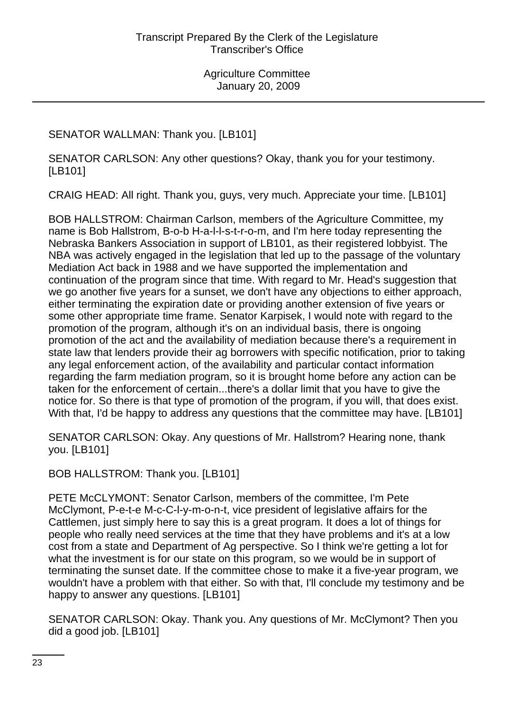SENATOR WALLMAN: Thank you. [LB101]

SENATOR CARLSON: Any other questions? Okay, thank you for your testimony. [LB101]

CRAIG HEAD: All right. Thank you, guys, very much. Appreciate your time. [LB101]

BOB HALLSTROM: Chairman Carlson, members of the Agriculture Committee, my name is Bob Hallstrom, B-o-b H-a-l-l-s-t-r-o-m, and I'm here today representing the Nebraska Bankers Association in support of LB101, as their registered lobbyist. The NBA was actively engaged in the legislation that led up to the passage of the voluntary Mediation Act back in 1988 and we have supported the implementation and continuation of the program since that time. With regard to Mr. Head's suggestion that we go another five years for a sunset, we don't have any objections to either approach, either terminating the expiration date or providing another extension of five years or some other appropriate time frame. Senator Karpisek, I would note with regard to the promotion of the program, although it's on an individual basis, there is ongoing promotion of the act and the availability of mediation because there's a requirement in state law that lenders provide their ag borrowers with specific notification, prior to taking any legal enforcement action, of the availability and particular contact information regarding the farm mediation program, so it is brought home before any action can be taken for the enforcement of certain...there's a dollar limit that you have to give the notice for. So there is that type of promotion of the program, if you will, that does exist. With that, I'd be happy to address any questions that the committee may have. [LB101]

SENATOR CARLSON: Okay. Any questions of Mr. Hallstrom? Hearing none, thank you. [LB101]

BOB HALLSTROM: Thank you. [LB101]

PETE McCLYMONT: Senator Carlson, members of the committee, I'm Pete McClymont, P-e-t-e M-c-C-l-y-m-o-n-t, vice president of legislative affairs for the Cattlemen, just simply here to say this is a great program. It does a lot of things for people who really need services at the time that they have problems and it's at a low cost from a state and Department of Ag perspective. So I think we're getting a lot for what the investment is for our state on this program, so we would be in support of terminating the sunset date. If the committee chose to make it a five-year program, we wouldn't have a problem with that either. So with that, I'll conclude my testimony and be happy to answer any questions. [LB101]

SENATOR CARLSON: Okay. Thank you. Any questions of Mr. McClymont? Then you did a good job. [LB101]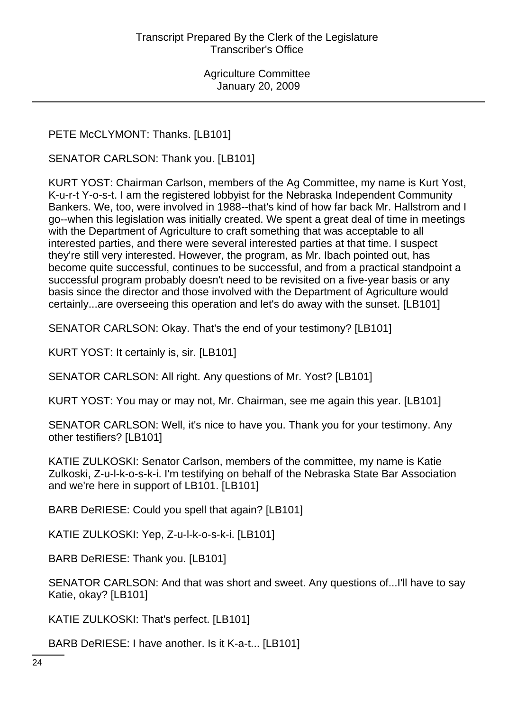PETE McCLYMONT: Thanks. [LB101]

SENATOR CARLSON: Thank you. [LB101]

KURT YOST: Chairman Carlson, members of the Ag Committee, my name is Kurt Yost, K-u-r-t Y-o-s-t. I am the registered lobbyist for the Nebraska Independent Community Bankers. We, too, were involved in 1988--that's kind of how far back Mr. Hallstrom and I go--when this legislation was initially created. We spent a great deal of time in meetings with the Department of Agriculture to craft something that was acceptable to all interested parties, and there were several interested parties at that time. I suspect they're still very interested. However, the program, as Mr. Ibach pointed out, has become quite successful, continues to be successful, and from a practical standpoint a successful program probably doesn't need to be revisited on a five-year basis or any basis since the director and those involved with the Department of Agriculture would certainly...are overseeing this operation and let's do away with the sunset. [LB101]

SENATOR CARLSON: Okay. That's the end of your testimony? [LB101]

KURT YOST: It certainly is, sir. [LB101]

SENATOR CARLSON: All right. Any questions of Mr. Yost? [LB101]

KURT YOST: You may or may not, Mr. Chairman, see me again this year. [LB101]

SENATOR CARLSON: Well, it's nice to have you. Thank you for your testimony. Any other testifiers? [LB101]

KATIE ZULKOSKI: Senator Carlson, members of the committee, my name is Katie Zulkoski, Z-u-l-k-o-s-k-i. I'm testifying on behalf of the Nebraska State Bar Association and we're here in support of LB101. [LB101]

BARB DeRIESE: Could you spell that again? [LB101]

KATIE ZULKOSKI: Yep, Z-u-l-k-o-s-k-i. [LB101]

BARB DeRIESE: Thank you. [LB101]

SENATOR CARLSON: And that was short and sweet. Any questions of...I'll have to say Katie, okay? [LB101]

KATIE ZULKOSKI: That's perfect. [LB101]

BARB DeRIESE: I have another. Is it K-a-t... [LB101]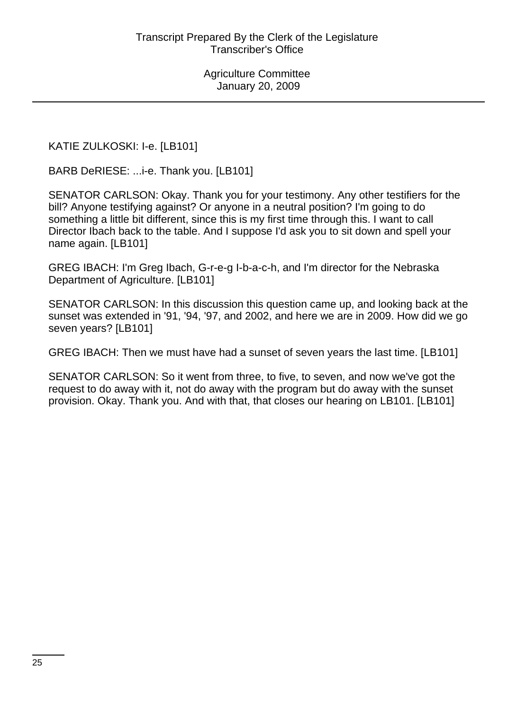KATIE ZULKOSKI: I-e. [LB101]

BARB DeRIESE: ...i-e. Thank you. [LB101]

SENATOR CARLSON: Okay. Thank you for your testimony. Any other testifiers for the bill? Anyone testifying against? Or anyone in a neutral position? I'm going to do something a little bit different, since this is my first time through this. I want to call Director Ibach back to the table. And I suppose I'd ask you to sit down and spell your name again. [LB101]

GREG IBACH: I'm Greg Ibach, G-r-e-g I-b-a-c-h, and I'm director for the Nebraska Department of Agriculture. [LB101]

SENATOR CARLSON: In this discussion this question came up, and looking back at the sunset was extended in '91, '94, '97, and 2002, and here we are in 2009. How did we go seven years? [LB101]

GREG IBACH: Then we must have had a sunset of seven years the last time. [LB101]

SENATOR CARLSON: So it went from three, to five, to seven, and now we've got the request to do away with it, not do away with the program but do away with the sunset provision. Okay. Thank you. And with that, that closes our hearing on LB101. [LB101]